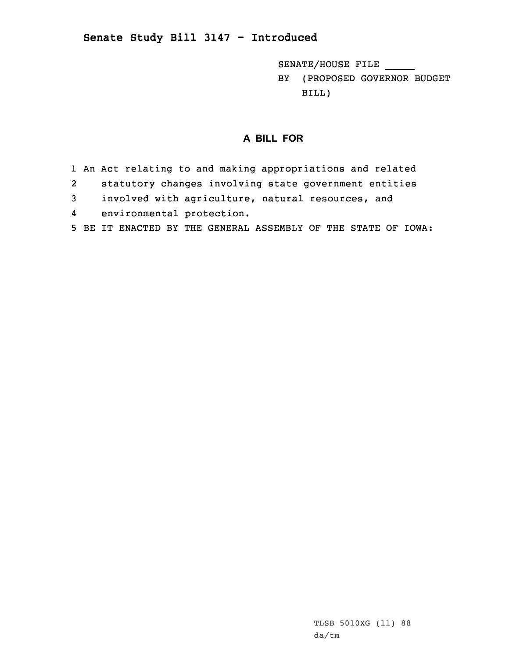## **Senate Study Bill 3147 - Introduced**

SENATE/HOUSE FILE \_\_\_\_\_

BY (PROPOSED GOVERNOR BUDGET BILL)

## **A BILL FOR**

- 1 An Act relating to and making appropriations and related
- 2statutory changes involving state government entities
- 3 involved with agriculture, natural resources, and
- 4 environmental protection.
- 5 BE IT ENACTED BY THE GENERAL ASSEMBLY OF THE STATE OF IOWA: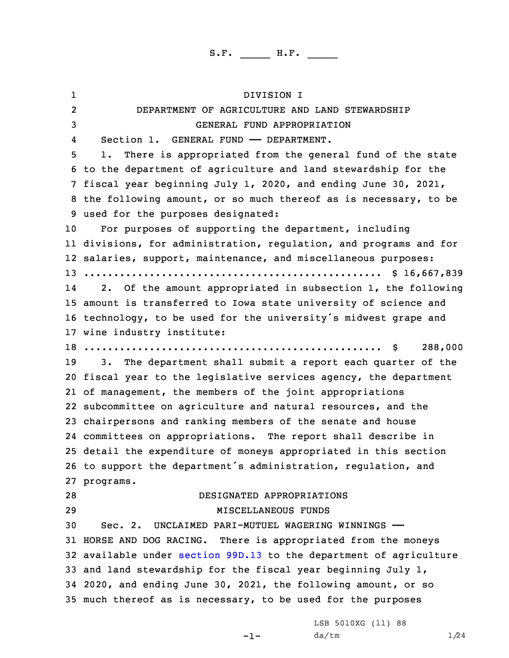1 DIVISION I 2 DEPARTMENT OF AGRICULTURE AND LAND STEWARDSHIP GENERAL FUND APPROPRIATION 4Section 1. GENERAL FUND - DEPARTMENT. 1. There is appropriated from the general fund of the state to the department of agriculture and land stewardship for the fiscal year beginning July 1, 2020, and ending June 30, 2021, the following amount, or so much thereof as is necessary, to be used for the purposes designated: For purposes of supporting the department, including divisions, for administration, regulation, and programs and for salaries, support, maintenance, and miscellaneous purposes: .................................................. \$ 16,667,839 14 2. Of the amount appropriated in subsection 1, the following amount is transferred to Iowa state university of science and technology, to be used for the university's midwest grape and wine industry institute: .................................................. \$ 288,000 3. The department shall submit <sup>a</sup> report each quarter of the fiscal year to the legislative services agency, the department of management, the members of the joint appropriations subcommittee on agriculture and natural resources, and the chairpersons and ranking members of the senate and house committees on appropriations. The report shall describe in detail the expenditure of moneys appropriated in this section to support the department's administration, regulation, and programs. DESIGNATED APPROPRIATIONS MISCELLANEOUS FUNDS Sec. 2. UNCLAIMED PARI-MUTUEL WAGERING WINNINGS —— HORSE AND DOG RACING. There is appropriated from the moneys available under [section](https://www.legis.iowa.gov/docs/code/2020/99D.13.pdf) 99D.13 to the department of agriculture and land stewardship for the fiscal year beginning July 1, 2020, and ending June 30, 2021, the following amount, or so much thereof as is necessary, to be used for the purposes

-1-

LSB 5010XG (11) 88  $da/tm$   $1/24$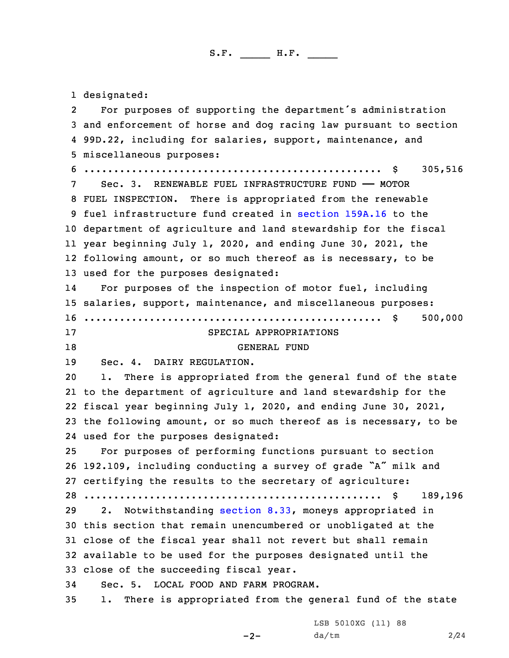designated: 2 For purposes of supporting the department's administration and enforcement of horse and dog racing law pursuant to section 99D.22, including for salaries, support, maintenance, and miscellaneous purposes: .................................................. \$ 305,516 Sec. 3. RENEWABLE FUEL INFRASTRUCTURE FUND —— MOTOR FUEL INSPECTION. There is appropriated from the renewable fuel infrastructure fund created in [section](https://www.legis.iowa.gov/docs/code/2020/159A.16.pdf) 159A.16 to the department of agriculture and land stewardship for the fiscal year beginning July 1, 2020, and ending June 30, 2021, the following amount, or so much thereof as is necessary, to be used for the purposes designated: 14 For purposes of the inspection of motor fuel, including salaries, support, maintenance, and miscellaneous purposes: .................................................. \$ 500,000 SPECIAL APPROPRIATIONS 18 GENERAL FUND Sec. 4. DAIRY REGULATION. 1. There is appropriated from the general fund of the state to the department of agriculture and land stewardship for the fiscal year beginning July 1, 2020, and ending June 30, 2021, the following amount, or so much thereof as is necessary, to be used for the purposes designated: For purposes of performing functions pursuant to section 192.109, including conducting <sup>a</sup> survey of grade "A" milk and certifying the results to the secretary of agriculture: .................................................. \$ 189,196 2. Notwithstanding [section](https://www.legis.iowa.gov/docs/code/2020/8.33.pdf) 8.33, moneys appropriated in this section that remain unencumbered or unobligated at the close of the fiscal year shall not revert but shall remain available to be used for the purposes designated until the close of the succeeding fiscal year. Sec. 5. LOCAL FOOD AND FARM PROGRAM. 1. There is appropriated from the general fund of the state

 $-2-$ 

LSB 5010XG (11) 88 da/tm 2/24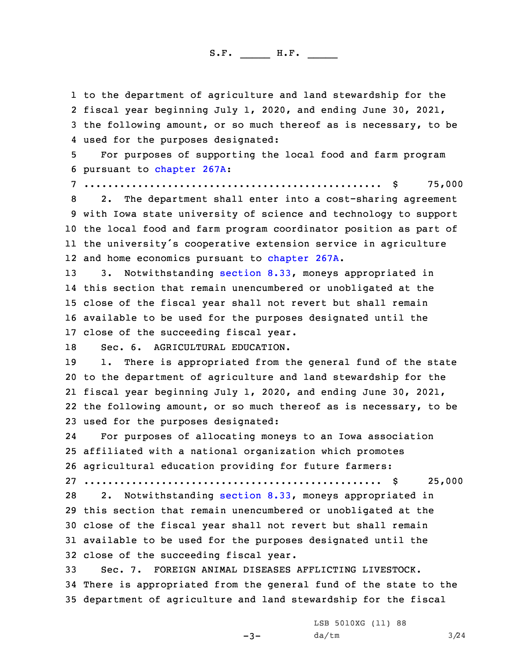to the department of agriculture and land stewardship for the fiscal year beginning July 1, 2020, and ending June 30, 2021, the following amount, or so much thereof as is necessary, to be used for the purposes designated:

5 For purposes of supporting the local food and farm program 6 pursuant to [chapter](https://www.legis.iowa.gov/docs/code/2020/267A.pdf) 267A:

7 .................................................. \$ 75,000

 2. The department shall enter into <sup>a</sup> cost-sharing agreement with Iowa state university of science and technology to support the local food and farm program coordinator position as part of the university's cooperative extension service in agriculture 12 and home economics pursuant to [chapter](https://www.legis.iowa.gov/docs/code/2020/267A.pdf) 267A.

 3. Notwithstanding [section](https://www.legis.iowa.gov/docs/code/2020/8.33.pdf) 8.33, moneys appropriated in this section that remain unencumbered or unobligated at the close of the fiscal year shall not revert but shall remain available to be used for the purposes designated until the close of the succeeding fiscal year.

18 Sec. 6. AGRICULTURAL EDUCATION.

19 1. There is appropriated from the general fund of the state to the department of agriculture and land stewardship for the fiscal year beginning July 1, 2020, and ending June 30, 2021, the following amount, or so much thereof as is necessary, to be used for the purposes designated:

24 For purposes of allocating moneys to an Iowa association 25 affiliated with <sup>a</sup> national organization which promotes 26 agricultural education providing for future farmers:

27 .................................................. \$ 25,000

 2. Notwithstanding [section](https://www.legis.iowa.gov/docs/code/2020/8.33.pdf) 8.33, moneys appropriated in this section that remain unencumbered or unobligated at the close of the fiscal year shall not revert but shall remain available to be used for the purposes designated until the close of the succeeding fiscal year.

33 Sec. 7. FOREIGN ANIMAL DISEASES AFFLICTING LIVESTOCK. 34 There is appropriated from the general fund of the state to the 35 department of agriculture and land stewardship for the fiscal

 $-3-$ 

LSB 5010XG (11) 88  $da/tm$  3/24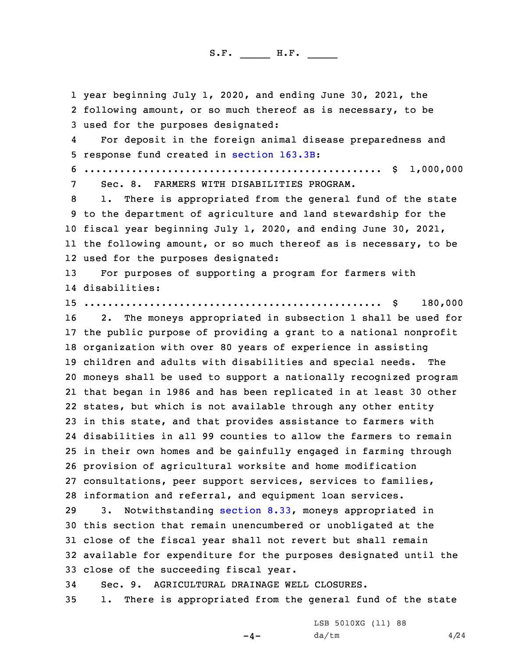year beginning July 1, 2020, and ending June 30, 2021, the following amount, or so much thereof as is necessary, to be used for the purposes designated: 4 For deposit in the foreign animal disease preparedness and response fund created in [section](https://www.legis.iowa.gov/docs/code/2020/163.3B.pdf) 163.3B: .................................................. \$ 1,000,000 Sec. 8. FARMERS WITH DISABILITIES PROGRAM. 1. There is appropriated from the general fund of the state to the department of agriculture and land stewardship for the fiscal year beginning July 1, 2020, and ending June 30, 2021, the following amount, or so much thereof as is necessary, to be used for the purposes designated: For purposes of supporting <sup>a</sup> program for farmers with disabilities: .................................................. \$ 180,000 2. The moneys appropriated in subsection 1 shall be used for the public purpose of providing <sup>a</sup> grant to <sup>a</sup> national nonprofit organization with over 80 years of experience in assisting children and adults with disabilities and special needs. The moneys shall be used to support <sup>a</sup> nationally recognized program that began in 1986 and has been replicated in at least 30 other states, but which is not available through any other entity in this state, and that provides assistance to farmers with disabilities in all 99 counties to allow the farmers to remain in their own homes and be gainfully engaged in farming through provision of agricultural worksite and home modification consultations, peer support services, services to families, information and referral, and equipment loan services. 3. Notwithstanding [section](https://www.legis.iowa.gov/docs/code/2020/8.33.pdf) 8.33, moneys appropriated in this section that remain unencumbered or unobligated at the close of the fiscal year shall not revert but shall remain available for expenditure for the purposes designated until the close of the succeeding fiscal year. Sec. 9. AGRICULTURAL DRAINAGE WELL CLOSURES. 1. There is appropriated from the general fund of the state

 $-4-$ 

LSB 5010XG (11) 88  $da/tm$  4/24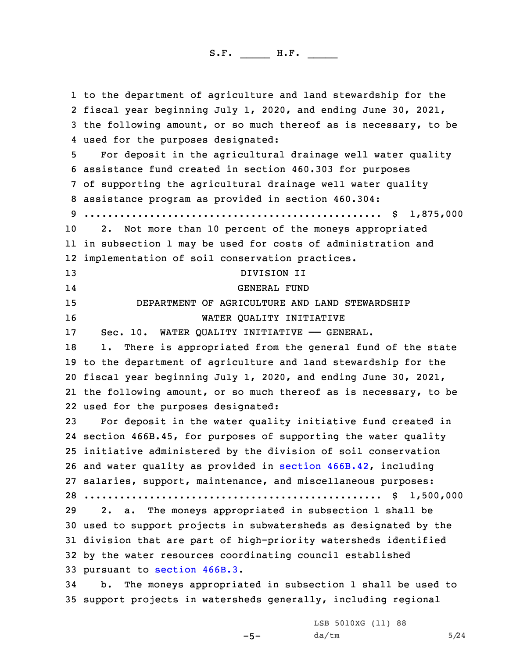to the department of agriculture and land stewardship for the fiscal year beginning July 1, 2020, and ending June 30, 2021, the following amount, or so much thereof as is necessary, to be used for the purposes designated: For deposit in the agricultural drainage well water quality assistance fund created in section 460.303 for purposes of supporting the agricultural drainage well water quality assistance program as provided in section 460.304: .................................................. \$ 1,875,000 2. Not more than 10 percent of the moneys appropriated in subsection 1 may be used for costs of administration and implementation of soil conservation practices. DIVISION II 14 GENERAL FUND DEPARTMENT OF AGRICULTURE AND LAND STEWARDSHIP WATER QUALITY INITIATIVE 17 Sec. 10. WATER QUALITY INITIATIVE - GENERAL. 18 1. There is appropriated from the general fund of the state to the department of agriculture and land stewardship for the fiscal year beginning July 1, 2020, and ending June 30, 2021, the following amount, or so much thereof as is necessary, to be used for the purposes designated: For deposit in the water quality initiative fund created in section 466B.45, for purposes of supporting the water quality initiative administered by the division of soil conservation and water quality as provided in section [466B.42](https://www.legis.iowa.gov/docs/code/2020/466B.42.pdf), including salaries, support, maintenance, and miscellaneous purposes: .................................................. \$ 1,500,000 2. a. The moneys appropriated in subsection 1 shall be used to support projects in subwatersheds as designated by the division that are part of high-priority watersheds identified by the water resources coordinating council established pursuant to [section](https://www.legis.iowa.gov/docs/code/2020/466B.3.pdf) 466B.3. b. The moneys appropriated in subsection 1 shall be used to support projects in watersheds generally, including regional

 $-5-$ 

LSB 5010XG (11) 88  $da/tm$  5/24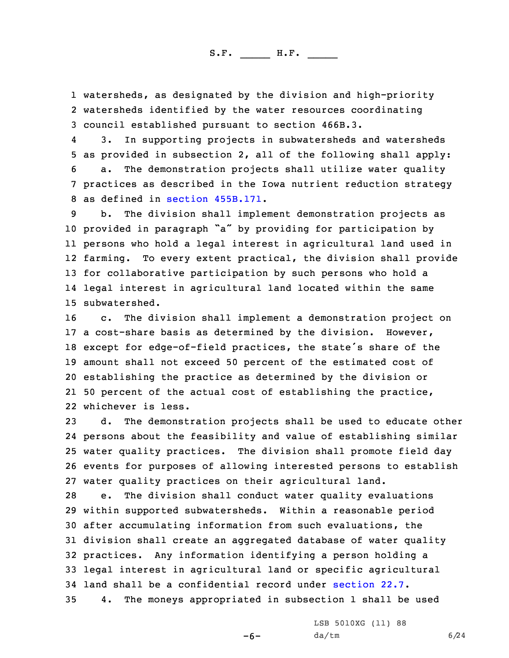1 watersheds, as designated by the division and high-priority 2 watersheds identified by the water resources coordinating 3 council established pursuant to section 466B.3.

4 3. In supporting projects in subwatersheds and watersheds as provided in subsection 2, all of the following shall apply: a. The demonstration projects shall utilize water quality practices as described in the Iowa nutrient reduction strategy as defined in section [455B.171](https://www.legis.iowa.gov/docs/code/2020/455B.171.pdf).

 b. The division shall implement demonstration projects as provided in paragraph "a" by providing for participation by persons who hold <sup>a</sup> legal interest in agricultural land used in farming. To every extent practical, the division shall provide for collaborative participation by such persons who hold <sup>a</sup> legal interest in agricultural land located within the same subwatershed.

 c. The division shall implement <sup>a</sup> demonstration project on <sup>a</sup> cost-share basis as determined by the division. However, except for edge-of-field practices, the state's share of the amount shall not exceed 50 percent of the estimated cost of establishing the practice as determined by the division or 50 percent of the actual cost of establishing the practice, whichever is less.

 d. The demonstration projects shall be used to educate other persons about the feasibility and value of establishing similar water quality practices. The division shall promote field day events for purposes of allowing interested persons to establish water quality practices on their agricultural land.

 e. The division shall conduct water quality evaluations within supported subwatersheds. Within <sup>a</sup> reasonable period after accumulating information from such evaluations, the division shall create an aggregated database of water quality practices. Any information identifying <sup>a</sup> person holding <sup>a</sup> legal interest in agricultural land or specific agricultural land shall be <sup>a</sup> confidential record under [section](https://www.legis.iowa.gov/docs/code/2020/22.7.pdf) 22.7. 4. The moneys appropriated in subsection 1 shall be used

-6-

LSB 5010XG (11) 88  $da/tm$  6/24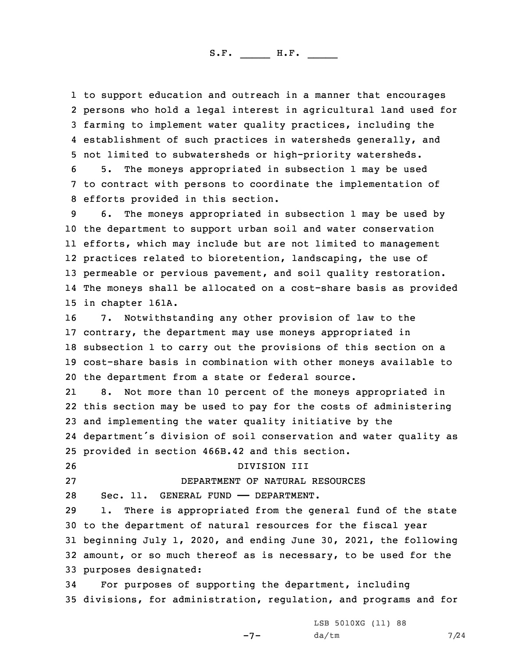to support education and outreach in <sup>a</sup> manner that encourages persons who hold <sup>a</sup> legal interest in agricultural land used for farming to implement water quality practices, including the establishment of such practices in watersheds generally, and not limited to subwatersheds or high-priority watersheds.

6 5. The moneys appropriated in subsection 1 may be used 7 to contract with persons to coordinate the implementation of 8 efforts provided in this section.

 6. The moneys appropriated in subsection 1 may be used by the department to support urban soil and water conservation efforts, which may include but are not limited to management practices related to bioretention, landscaping, the use of permeable or pervious pavement, and soil quality restoration. The moneys shall be allocated on <sup>a</sup> cost-share basis as provided in chapter 161A.

 7. Notwithstanding any other provision of law to the contrary, the department may use moneys appropriated in subsection 1 to carry out the provisions of this section on <sup>a</sup> cost-share basis in combination with other moneys available to the department from <sup>a</sup> state or federal source.

21 8. Not more than 10 percent of the moneys appropriated in this section may be used to pay for the costs of administering and implementing the water quality initiative by the department's division of soil conservation and water quality as provided in section 466B.42 and this section.

26 DIVISION III

27 DEPARTMENT OF NATURAL RESOURCES

28 Sec. 11. GENERAL FUND —— DEPARTMENT.

 1. There is appropriated from the general fund of the state to the department of natural resources for the fiscal year beginning July 1, 2020, and ending June 30, 2021, the following amount, or so much thereof as is necessary, to be used for the purposes designated:

34 For purposes of supporting the department, including 35 divisions, for administration, regulation, and programs and for

 $-7-$ 

LSB 5010XG (11) 88  $da/tm$  7/24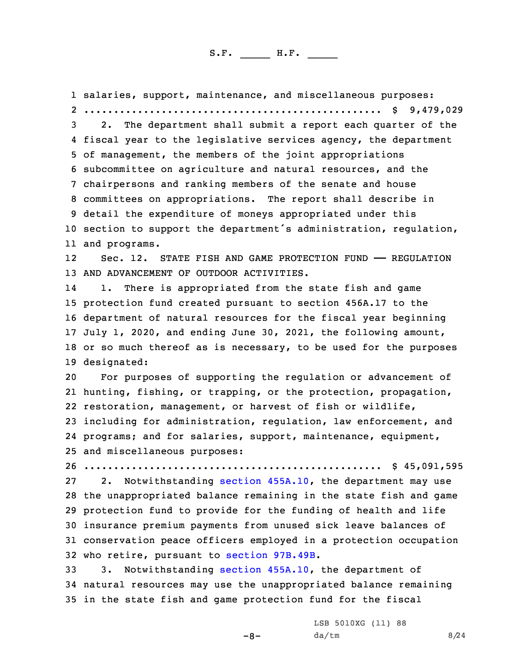salaries, support, maintenance, and miscellaneous purposes: .................................................. \$ 9,479,029 2. The department shall submit <sup>a</sup> report each quarter of the fiscal year to the legislative services agency, the department of management, the members of the joint appropriations subcommittee on agriculture and natural resources, and the chairpersons and ranking members of the senate and house committees on appropriations. The report shall describe in detail the expenditure of moneys appropriated under this section to support the department's administration, regulation, and programs. 12 Sec. 12. STATE FISH AND GAME PROTECTION FUND —— REGULATION AND ADVANCEMENT OF OUTDOOR ACTIVITIES. 14 1. There is appropriated from the state fish and game protection fund created pursuant to section 456A.17 to the department of natural resources for the fiscal year beginning July 1, 2020, and ending June 30, 2021, the following amount, or so much thereof as is necessary, to be used for the purposes designated: For purposes of supporting the regulation or advancement of hunting, fishing, or trapping, or the protection, propagation, restoration, management, or harvest of fish or wildlife, including for administration, regulation, law enforcement, and programs; and for salaries, support, maintenance, equipment, and miscellaneous purposes: .................................................. \$ 45,091,595 27 2. Notwithstanding section [455A.10](https://www.legis.iowa.gov/docs/code/2020/455A.10.pdf), the department may use the unappropriated balance remaining in the state fish and game protection fund to provide for the funding of health and life insurance premium payments from unused sick leave balances of conservation peace officers employed in <sup>a</sup> protection occupation who retire, pursuant to section [97B.49B](https://www.legis.iowa.gov/docs/code/2020/97B.49B.pdf). 3. Notwithstanding section [455A.10](https://www.legis.iowa.gov/docs/code/2020/455A.10.pdf), the department of natural resources may use the unappropriated balance remaining in the state fish and game protection fund for the fiscal

-8-

LSB 5010XG (11) 88  $da/tm$  8/24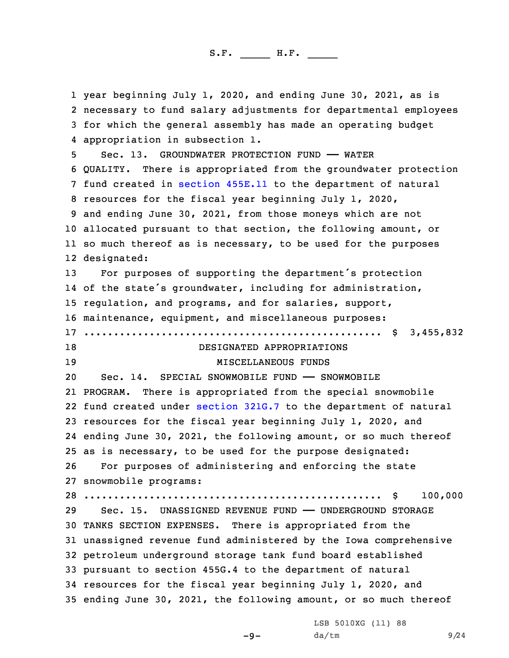year beginning July 1, 2020, and ending June 30, 2021, as is necessary to fund salary adjustments for departmental employees for which the general assembly has made an operating budget appropriation in subsection 1. Sec. 13. GROUNDWATER PROTECTION FUND —— WATER QUALITY. There is appropriated from the groundwater protection fund created in [section](https://www.legis.iowa.gov/docs/code/2020/455E.11.pdf) 455E.11 to the department of natural resources for the fiscal year beginning July 1, 2020, and ending June 30, 2021, from those moneys which are not allocated pursuant to that section, the following amount, or so much thereof as is necessary, to be used for the purposes designated: For purposes of supporting the department's protection of the state's groundwater, including for administration, regulation, and programs, and for salaries, support, maintenance, equipment, and miscellaneous purposes: .................................................. \$ 3,455,832 18 DESIGNATED APPROPRIATIONS 19 MISCELLANEOUS FUNDS Sec. 14. SPECIAL SNOWMOBILE FUND —— SNOWMOBILE PROGRAM. There is appropriated from the special snowmobile fund created under [section](https://www.legis.iowa.gov/docs/code/2020/321G.7.pdf) 321G.7 to the department of natural resources for the fiscal year beginning July 1, 2020, and ending June 30, 2021, the following amount, or so much thereof as is necessary, to be used for the purpose designated: For purposes of administering and enforcing the state snowmobile programs: .................................................. \$ 100,000 Sec. 15. UNASSIGNED REVENUE FUND —— UNDERGROUND STORAGE TANKS SECTION EXPENSES. There is appropriated from the unassigned revenue fund administered by the Iowa comprehensive petroleum underground storage tank fund board established pursuant to section 455G.4 to the department of natural resources for the fiscal year beginning July 1, 2020, and ending June 30, 2021, the following amount, or so much thereof

 $-9-$ 

LSB 5010XG (11) 88 da/tm 9/24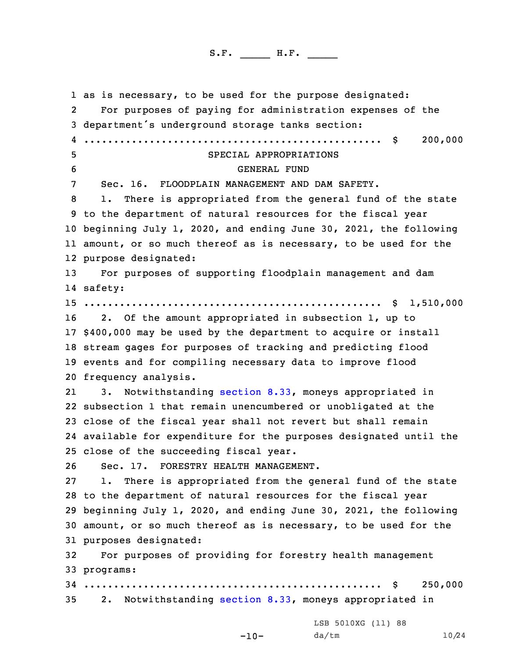as is necessary, to be used for the purpose designated: 2 For purposes of paying for administration expenses of the department's underground storage tanks section: .................................................. \$ 200,000 SPECIAL APPROPRIATIONS GENERAL FUND Sec. 16. FLOODPLAIN MANAGEMENT AND DAM SAFETY. 1. There is appropriated from the general fund of the state to the department of natural resources for the fiscal year beginning July 1, 2020, and ending June 30, 2021, the following amount, or so much thereof as is necessary, to be used for the purpose designated: For purposes of supporting floodplain management and dam 14 safety: .................................................. \$ 1,510,000 2. Of the amount appropriated in subsection 1, up to \$400,000 may be used by the department to acquire or install stream gages for purposes of tracking and predicting flood events and for compiling necessary data to improve flood frequency analysis. 21 3. Notwithstanding [section](https://www.legis.iowa.gov/docs/code/2020/8.33.pdf) 8.33, moneys appropriated in subsection 1 that remain unencumbered or unobligated at the close of the fiscal year shall not revert but shall remain available for expenditure for the purposes designated until the close of the succeeding fiscal year. Sec. 17. FORESTRY HEALTH MANAGEMENT. 1. There is appropriated from the general fund of the state to the department of natural resources for the fiscal year beginning July 1, 2020, and ending June 30, 2021, the following amount, or so much thereof as is necessary, to be used for the purposes designated: For purposes of providing for forestry health management programs: .................................................. \$ 250,000 2. Notwithstanding [section](https://www.legis.iowa.gov/docs/code/2020/8.33.pdf) 8.33, moneys appropriated in

LSB 5010XG (11) 88

da/tm 10/24

-10-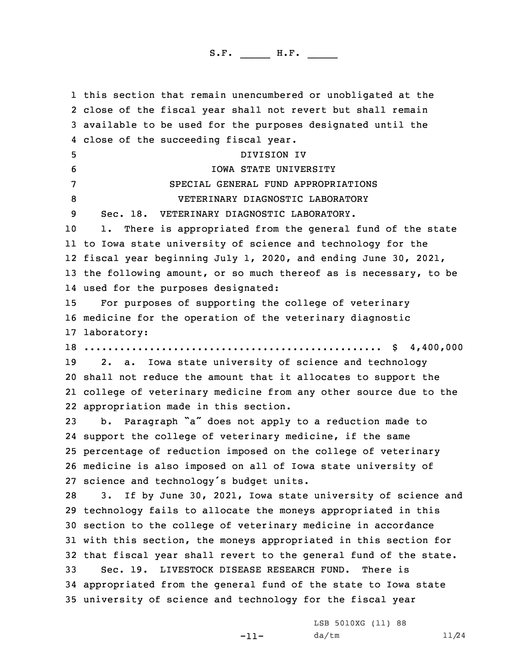this section that remain unencumbered or unobligated at the close of the fiscal year shall not revert but shall remain available to be used for the purposes designated until the close of the succeeding fiscal year. DIVISION IV IOWA STATE UNIVERSITY SPECIAL GENERAL FUND APPROPRIATIONS VETERINARY DIAGNOSTIC LABORATORY Sec. 18. VETERINARY DIAGNOSTIC LABORATORY. 1. There is appropriated from the general fund of the state to Iowa state university of science and technology for the fiscal year beginning July 1, 2020, and ending June 30, 2021, the following amount, or so much thereof as is necessary, to be used for the purposes designated: For purposes of supporting the college of veterinary medicine for the operation of the veterinary diagnostic laboratory: .................................................. \$ 4,400,000 2. a. Iowa state university of science and technology shall not reduce the amount that it allocates to support the college of veterinary medicine from any other source due to the appropriation made in this section. b. Paragraph "a" does not apply to <sup>a</sup> reduction made to support the college of veterinary medicine, if the same percentage of reduction imposed on the college of veterinary medicine is also imposed on all of Iowa state university of science and technology's budget units. 3. If by June 30, 2021, Iowa state university of science and technology fails to allocate the moneys appropriated in this section to the college of veterinary medicine in accordance with this section, the moneys appropriated in this section for that fiscal year shall revert to the general fund of the state. Sec. 19. LIVESTOCK DISEASE RESEARCH FUND. There is appropriated from the general fund of the state to Iowa state university of science and technology for the fiscal year

-11-

LSB 5010XG (11) 88 da/tm 11/24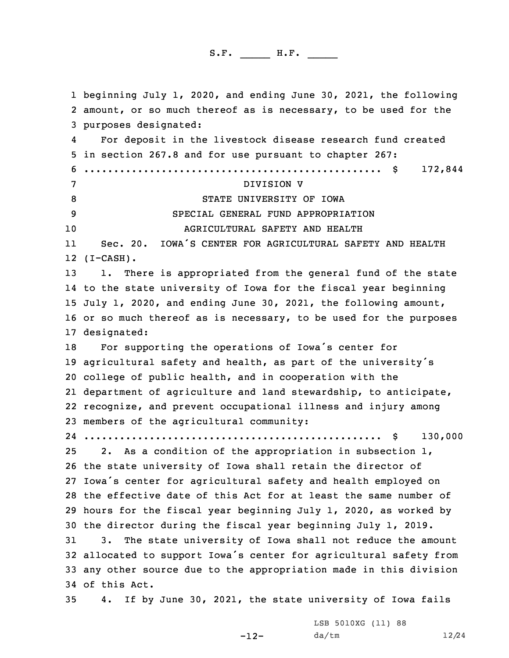beginning July 1, 2020, and ending June 30, 2021, the following amount, or so much thereof as is necessary, to be used for the purposes designated: 4 For deposit in the livestock disease research fund created in section 267.8 and for use pursuant to chapter 267: .................................................. \$ 172,844 DIVISION V 8 STATE UNIVERSITY OF IOWA SPECIAL GENERAL FUND APPROPRIATION AGRICULTURAL SAFETY AND HEALTH 11 Sec. 20. IOWA'S CENTER FOR AGRICULTURAL SAFETY AND HEALTH (I-CASH). 1. There is appropriated from the general fund of the state to the state university of Iowa for the fiscal year beginning July 1, 2020, and ending June 30, 2021, the following amount, or so much thereof as is necessary, to be used for the purposes designated: For supporting the operations of Iowa's center for agricultural safety and health, as part of the university's college of public health, and in cooperation with the department of agriculture and land stewardship, to anticipate, recognize, and prevent occupational illness and injury among members of the agricultural community: .................................................. \$ 130,000 2. As <sup>a</sup> condition of the appropriation in subsection 1, the state university of Iowa shall retain the director of Iowa's center for agricultural safety and health employed on the effective date of this Act for at least the same number of hours for the fiscal year beginning July 1, 2020, as worked by the director during the fiscal year beginning July 1, 2019. 3. The state university of Iowa shall not reduce the amount allocated to support Iowa's center for agricultural safety from any other source due to the appropriation made in this division of this Act. 4. If by June 30, 2021, the state university of Iowa fails

-12-

LSB 5010XG (11) 88 da/tm 12/24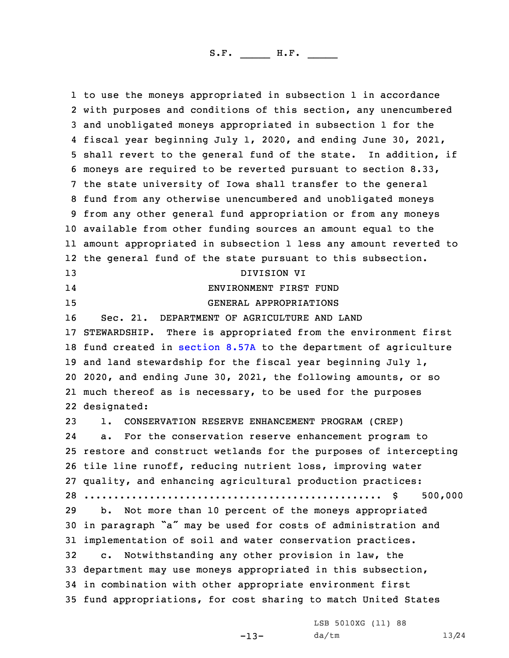to use the moneys appropriated in subsection 1 in accordance with purposes and conditions of this section, any unencumbered and unobligated moneys appropriated in subsection 1 for the fiscal year beginning July 1, 2020, and ending June 30, 2021, shall revert to the general fund of the state. In addition, if moneys are required to be reverted pursuant to section 8.33, the state university of Iowa shall transfer to the general fund from any otherwise unencumbered and unobligated moneys from any other general fund appropriation or from any moneys available from other funding sources an amount equal to the amount appropriated in subsection 1 less any amount reverted to the general fund of the state pursuant to this subsection. DIVISION VI 14 ENVIRONMENT FIRST FUND GENERAL APPROPRIATIONS Sec. 21. DEPARTMENT OF AGRICULTURE AND LAND STEWARDSHIP. There is appropriated from the environment first fund created in [section](https://www.legis.iowa.gov/docs/code/2020/8.57A.pdf) 8.57A to the department of agriculture and land stewardship for the fiscal year beginning July 1, 2020, and ending June 30, 2021, the following amounts, or so much thereof as is necessary, to be used for the purposes designated: 1. CONSERVATION RESERVE ENHANCEMENT PROGRAM (CREP) 24 a. For the conservation reserve enhancement program to restore and construct wetlands for the purposes of intercepting tile line runoff, reducing nutrient loss, improving water quality, and enhancing agricultural production practices: .................................................. \$ 500,000 b. Not more than 10 percent of the moneys appropriated in paragraph "a" may be used for costs of administration and implementation of soil and water conservation practices. c. Notwithstanding any other provision in law, the department may use moneys appropriated in this subsection, in combination with other appropriate environment first fund appropriations, for cost sharing to match United States

-13-

LSB 5010XG (11) 88 da/tm 13/24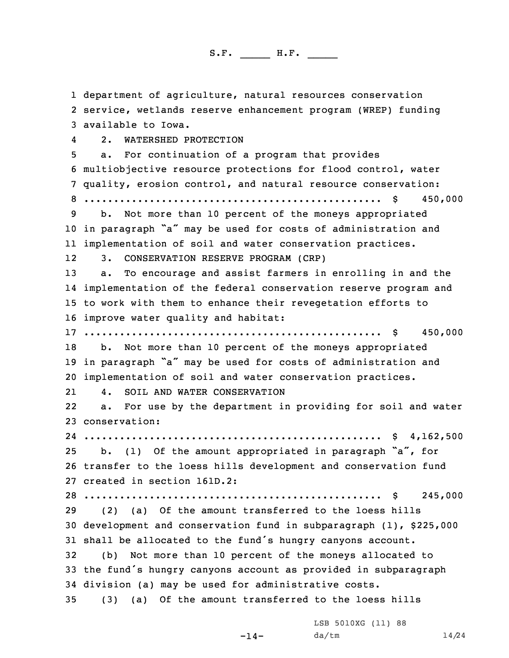department of agriculture, natural resources conservation service, wetlands reserve enhancement program (WREP) funding available to Iowa. 4 2. WATERSHED PROTECTION a. For continuation of <sup>a</sup> program that provides multiobjective resource protections for flood control, water quality, erosion control, and natural resource conservation: .................................................. \$ 450,000 b. Not more than 10 percent of the moneys appropriated in paragraph "a" may be used for costs of administration and implementation of soil and water conservation practices. 12 3. CONSERVATION RESERVE PROGRAM (CRP) a. To encourage and assist farmers in enrolling in and the implementation of the federal conservation reserve program and to work with them to enhance their revegetation efforts to improve water quality and habitat: .................................................. \$ 450,000 b. Not more than 10 percent of the moneys appropriated in paragraph "a" may be used for costs of administration and implementation of soil and water conservation practices. 21 4. SOIL AND WATER CONSERVATION 22 a. For use by the department in providing for soil and water conservation: .................................................. \$ 4,162,500 b. (1) Of the amount appropriated in paragraph "a", for transfer to the loess hills development and conservation fund created in section 161D.2: .................................................. \$ 245,000 (2) (a) Of the amount transferred to the loess hills development and conservation fund in subparagraph (1), \$225,000 shall be allocated to the fund's hungry canyons account. (b) Not more than 10 percent of the moneys allocated to the fund's hungry canyons account as provided in subparagraph division (a) may be used for administrative costs. (3) (a) Of the amount transferred to the loess hills

-14-

LSB 5010XG (11) 88 da/tm 14/24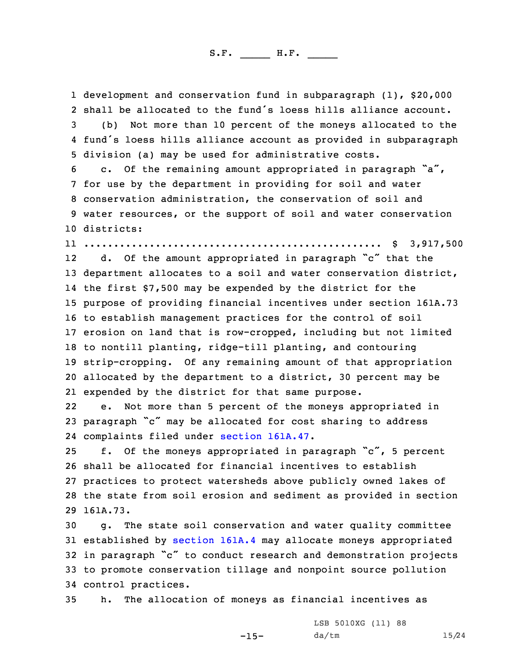development and conservation fund in subparagraph (1), \$20,000 shall be allocated to the fund's loess hills alliance account. (b) Not more than 10 percent of the moneys allocated to the fund's loess hills alliance account as provided in subparagraph division (a) may be used for administrative costs. c. Of the remaining amount appropriated in paragraph "a", for use by the department in providing for soil and water conservation administration, the conservation of soil and water resources, or the support of soil and water conservation districts: .................................................. \$ 3,917,500 12 d. Of the amount appropriated in paragraph "c" that the department allocates to <sup>a</sup> soil and water conservation district, the first \$7,500 may be expended by the district for the purpose of providing financial incentives under section 161A.73 to establish management practices for the control of soil erosion on land that is row-cropped, including but not limited to nontill planting, ridge-till planting, and contouring strip-cropping. Of any remaining amount of that appropriation allocated by the department to <sup>a</sup> district, 30 percent may be expended by the district for that same purpose. 22 e. Not more than 5 percent of the moneys appropriated in paragraph "c" may be allocated for cost sharing to address complaints filed under section [161A.47](https://www.legis.iowa.gov/docs/code/2020/161A.47.pdf). f. Of the moneys appropriated in paragraph "c", <sup>5</sup> percent shall be allocated for financial incentives to establish practices to protect watersheds above publicly owned lakes of the state from soil erosion and sediment as provided in section 29 161A.73. g. The state soil conservation and water quality committee established by [section](https://www.legis.iowa.gov/docs/code/2020/161A.4.pdf) 161A.4 may allocate moneys appropriated in paragraph "c" to conduct research and demonstration projects to promote conservation tillage and nonpoint source pollution control practices.

35 h. The allocation of moneys as financial incentives as

-15-

LSB 5010XG (11) 88 da/tm 15/24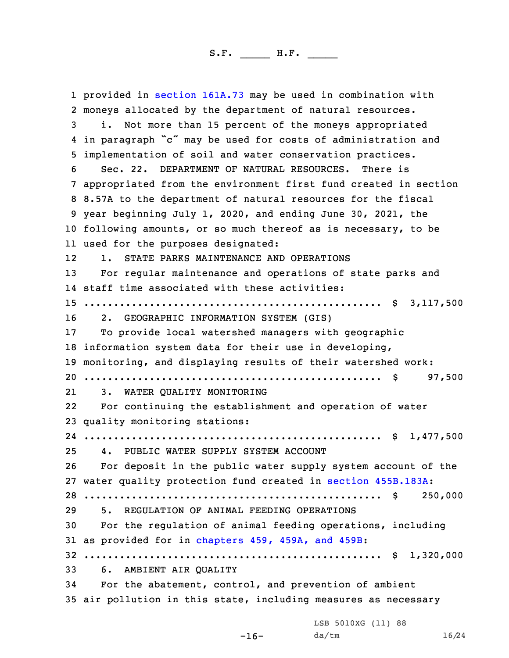provided in section [161A.73](https://www.legis.iowa.gov/docs/code/2020/161A.73.pdf) may be used in combination with moneys allocated by the department of natural resources. i. Not more than 15 percent of the moneys appropriated in paragraph "c" may be used for costs of administration and implementation of soil and water conservation practices. Sec. 22. DEPARTMENT OF NATURAL RESOURCES. There is appropriated from the environment first fund created in section 8.57A to the department of natural resources for the fiscal year beginning July 1, 2020, and ending June 30, 2021, the following amounts, or so much thereof as is necessary, to be used for the purposes designated: 12 1. STATE PARKS MAINTENANCE AND OPERATIONS For regular maintenance and operations of state parks and staff time associated with these activities: .................................................. \$ 3,117,500 2. GEOGRAPHIC INFORMATION SYSTEM (GIS) To provide local watershed managers with geographic information system data for their use in developing, monitoring, and displaying results of their watershed work: .................................................. \$ 97,500 21 3. WATER QUALITY MONITORING 22 For continuing the establishment and operation of water quality monitoring stations: .................................................. \$ 1,477,500 4. PUBLIC WATER SUPPLY SYSTEM ACCOUNT For deposit in the public water supply system account of the water quality protection fund created in section [455B.183A](https://www.legis.iowa.gov/docs/code/2020/455B.183A.pdf): .................................................. \$ 250,000 5. REGULATION OF ANIMAL FEEDING OPERATIONS For the regulation of animal feeding operations, including as provided for in [chapters](https://www.legis.iowa.gov/docs/code/2020/459.pdf) 459, 459A, and 459B: .................................................. \$ 1,320,000 6. AMBIENT AIR QUALITY For the abatement, control, and prevention of ambient air pollution in this state, including measures as necessary

LSB 5010XG (11) 88

-16-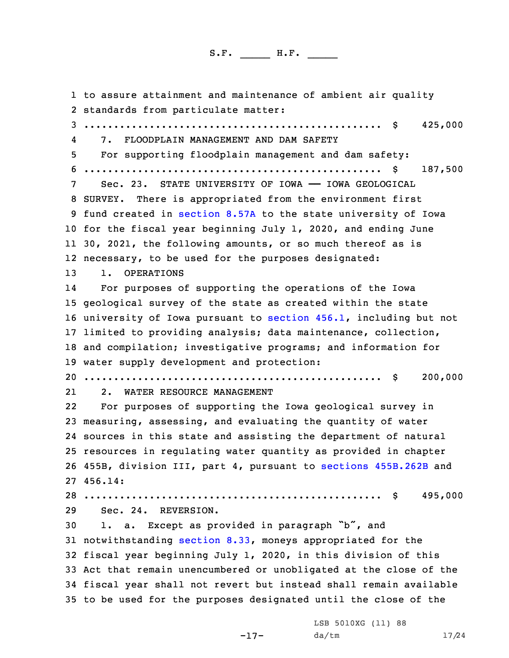to assure attainment and maintenance of ambient air quality standards from particulate matter: .................................................. \$ 425,000 4 7. FLOODPLAIN MANAGEMENT AND DAM SAFETY For supporting floodplain management and dam safety: .................................................. \$ 187,500 Sec. 23. STATE UNIVERSITY OF IOWA —— IOWA GEOLOGICAL SURVEY. There is appropriated from the environment first fund created in [section](https://www.legis.iowa.gov/docs/code/2020/8.57A.pdf) 8.57A to the state university of Iowa for the fiscal year beginning July 1, 2020, and ending June 30, 2021, the following amounts, or so much thereof as is necessary, to be used for the purposes designated: 1. OPERATIONS 14 For purposes of supporting the operations of the Iowa geological survey of the state as created within the state university of Iowa pursuant to [section](https://www.legis.iowa.gov/docs/code/2020/456.1.pdf) 456.1, including but not limited to providing analysis; data maintenance, collection, and compilation; investigative programs; and information for water supply development and protection: .................................................. \$ 200,000 21 2. WATER RESOURCE MANAGEMENT 22 For purposes of supporting the Iowa geological survey in measuring, assessing, and evaluating the quantity of water sources in this state and assisting the department of natural resources in regulating water quantity as provided in chapter 455B, division III, part 4, pursuant to sections [455B.262B](https://www.legis.iowa.gov/docs/code/2020/455B.262B.pdf) and 27 456.14: .................................................. \$ 495,000 Sec. 24. REVERSION. 1. a. Except as provided in paragraph "b", and notwithstanding [section](https://www.legis.iowa.gov/docs/code/2020/8.33.pdf) 8.33, moneys appropriated for the fiscal year beginning July 1, 2020, in this division of this Act that remain unencumbered or unobligated at the close of the fiscal year shall not revert but instead shall remain available to be used for the purposes designated until the close of the

-17-

LSB 5010XG (11) 88 da/tm 17/24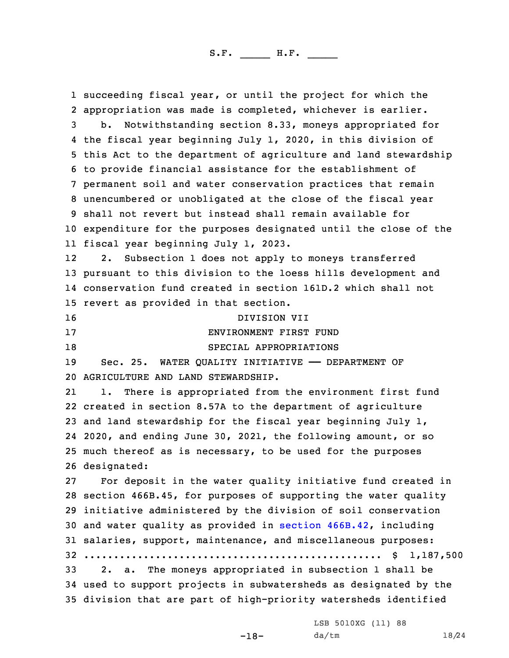succeeding fiscal year, or until the project for which the appropriation was made is completed, whichever is earlier. b. Notwithstanding section 8.33, moneys appropriated for the fiscal year beginning July 1, 2020, in this division of this Act to the department of agriculture and land stewardship to provide financial assistance for the establishment of permanent soil and water conservation practices that remain unencumbered or unobligated at the close of the fiscal year shall not revert but instead shall remain available for expenditure for the purposes designated until the close of the fiscal year beginning July 1, 2023. 12 2. Subsection 1 does not apply to moneys transferred pursuant to this division to the loess hills development and conservation fund created in section 161D.2 which shall not revert as provided in that section. DIVISION VII ENVIRONMENT FIRST FUND 18 SPECIAL APPROPRIATIONS Sec. 25. WATER QUALITY INITIATIVE —— DEPARTMENT OF AGRICULTURE AND LAND STEWARDSHIP. 21 1. There is appropriated from the environment first fund created in section 8.57A to the department of agriculture and land stewardship for the fiscal year beginning July 1, 2020, and ending June 30, 2021, the following amount, or so much thereof as is necessary, to be used for the purposes designated: For deposit in the water quality initiative fund created in section 466B.45, for purposes of supporting the water quality initiative administered by the division of soil conservation and water quality as provided in section [466B.42](https://www.legis.iowa.gov/docs/code/2020/466B.42.pdf), including salaries, support, maintenance, and miscellaneous purposes: .................................................. \$ 1,187,500 2. a. The moneys appropriated in subsection 1 shall be used to support projects in subwatersheds as designated by the division that are part of high-priority watersheds identified

LSB 5010XG (11) 88

-18-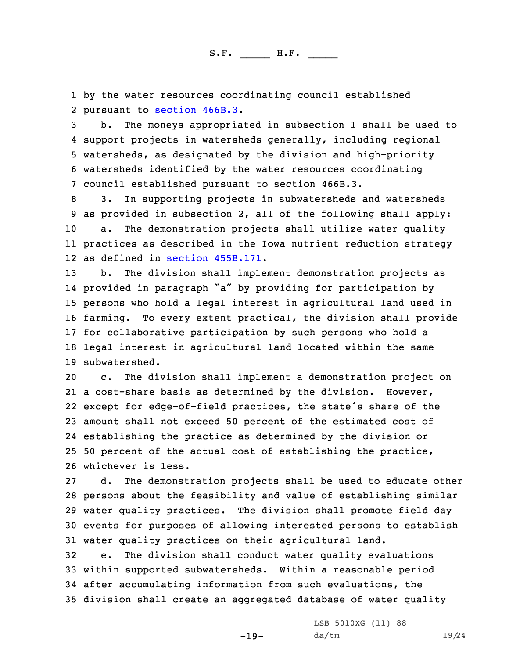1 by the water resources coordinating council established 2 pursuant to [section](https://www.legis.iowa.gov/docs/code/2020/466B.3.pdf) 466B.3.

 b. The moneys appropriated in subsection 1 shall be used to support projects in watersheds generally, including regional watersheds, as designated by the division and high-priority watersheds identified by the water resources coordinating council established pursuant to section 466B.3.

 3. In supporting projects in subwatersheds and watersheds as provided in subsection 2, all of the following shall apply: a. The demonstration projects shall utilize water quality practices as described in the Iowa nutrient reduction strategy as defined in section [455B.171](https://www.legis.iowa.gov/docs/code/2020/455B.171.pdf).

 b. The division shall implement demonstration projects as provided in paragraph "a" by providing for participation by persons who hold <sup>a</sup> legal interest in agricultural land used in farming. To every extent practical, the division shall provide for collaborative participation by such persons who hold <sup>a</sup> legal interest in agricultural land located within the same subwatershed.

 c. The division shall implement <sup>a</sup> demonstration project on <sup>a</sup> cost-share basis as determined by the division. However, except for edge-of-field practices, the state's share of the amount shall not exceed 50 percent of the estimated cost of establishing the practice as determined by the division or 50 percent of the actual cost of establishing the practice, whichever is less.

 d. The demonstration projects shall be used to educate other persons about the feasibility and value of establishing similar water quality practices. The division shall promote field day events for purposes of allowing interested persons to establish water quality practices on their agricultural land.

 e. The division shall conduct water quality evaluations within supported subwatersheds. Within <sup>a</sup> reasonable period after accumulating information from such evaluations, the division shall create an aggregated database of water quality

-19-

LSB 5010XG (11) 88 da/tm 19/24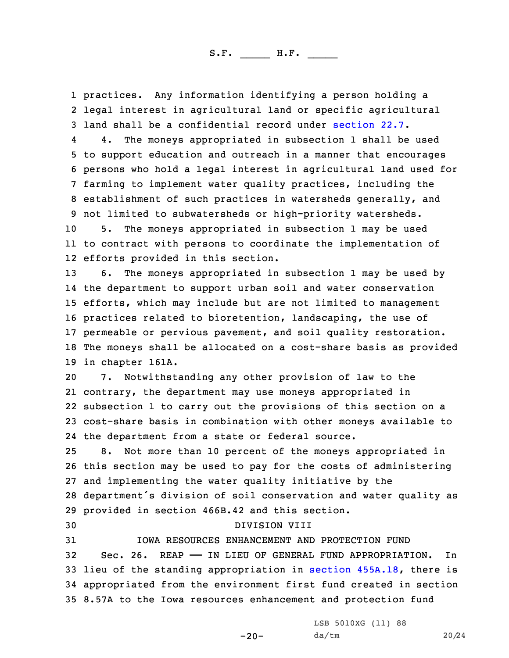1 practices. Any information identifying <sup>a</sup> person holding <sup>a</sup> 2 legal interest in agricultural land or specific agricultural 3 land shall be <sup>a</sup> confidential record under [section](https://www.legis.iowa.gov/docs/code/2020/22.7.pdf) 22.7.

4 4. The moneys appropriated in subsection 1 shall be used to support education and outreach in <sup>a</sup> manner that encourages persons who hold <sup>a</sup> legal interest in agricultural land used for farming to implement water quality practices, including the establishment of such practices in watersheds generally, and not limited to subwatersheds or high-priority watersheds.

10 5. The moneys appropriated in subsection 1 may be used 11 to contract with persons to coordinate the implementation of 12 efforts provided in this section.

 6. The moneys appropriated in subsection 1 may be used by the department to support urban soil and water conservation efforts, which may include but are not limited to management practices related to bioretention, landscaping, the use of permeable or pervious pavement, and soil quality restoration. The moneys shall be allocated on <sup>a</sup> cost-share basis as provided in chapter 161A.

 7. Notwithstanding any other provision of law to the contrary, the department may use moneys appropriated in subsection 1 to carry out the provisions of this section on <sup>a</sup> cost-share basis in combination with other moneys available to the department from <sup>a</sup> state or federal source.

 8. Not more than 10 percent of the moneys appropriated in this section may be used to pay for the costs of administering and implementing the water quality initiative by the department's division of soil conservation and water quality as provided in section 466B.42 and this section.

30 DIVISION VIII

 IOWA RESOURCES ENHANCEMENT AND PROTECTION FUND Sec. 26. REAP —— IN LIEU OF GENERAL FUND APPROPRIATION. In lieu of the standing appropriation in section [455A.18](https://www.legis.iowa.gov/docs/code/2020/455A.18.pdf), there is appropriated from the environment first fund created in section 8.57A to the Iowa resources enhancement and protection fund

-20-

LSB 5010XG (11) 88 da/tm 20/24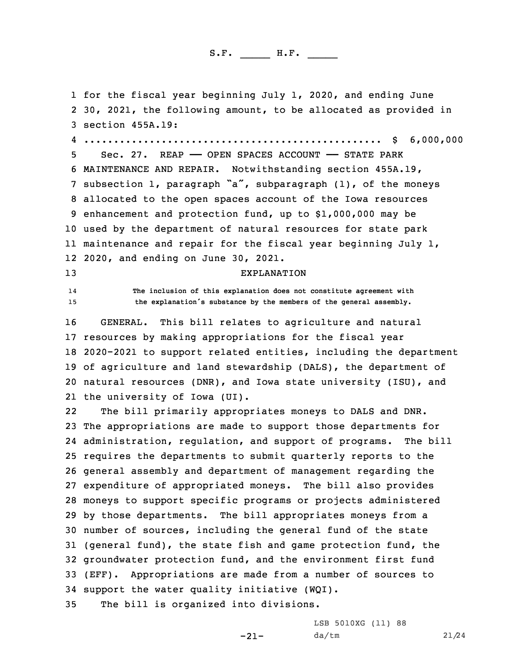1 for the fiscal year beginning July 1, 2020, and ending June

 30, 2021, the following amount, to be allocated as provided in section 455A.19: .................................................. \$ 6,000,000 Sec. 27. REAP —— OPEN SPACES ACCOUNT —— STATE PARK MAINTENANCE AND REPAIR. Notwithstanding section 455A.19, subsection 1, paragraph "a", subparagraph (1), of the moneys allocated to the open spaces account of the Iowa resources enhancement and protection fund, up to \$1,000,000 may be used by the department of natural resources for state park maintenance and repair for the fiscal year beginning July 1, 2020, and ending on June 30, 2021. EXPLANATION 14 **The inclusion of this explanation does not constitute agreement with the explanation's substance by the members of the general assembly.** GENERAL. This bill relates to agriculture and natural resources by making appropriations for the fiscal year 2020-2021 to support related entities, including the department of agriculture and land stewardship (DALS), the department of natural resources (DNR), and Iowa state university (ISU), and the university of Iowa (UI). 22 The bill primarily appropriates moneys to DALS and DNR. The appropriations are made to support those departments for administration, regulation, and support of programs. The bill requires the departments to submit quarterly reports to the general assembly and department of management regarding the expenditure of appropriated moneys. The bill also provides moneys to support specific programs or projects administered by those departments. The bill appropriates moneys from <sup>a</sup> number of sources, including the general fund of the state (general fund), the state fish and game protection fund, the groundwater protection fund, and the environment first fund (EFF). Appropriations are made from <sup>a</sup> number of sources to support the water quality initiative (WQI). The bill is organized into divisions.

-21-

LSB 5010XG (11) 88 da/tm 21/24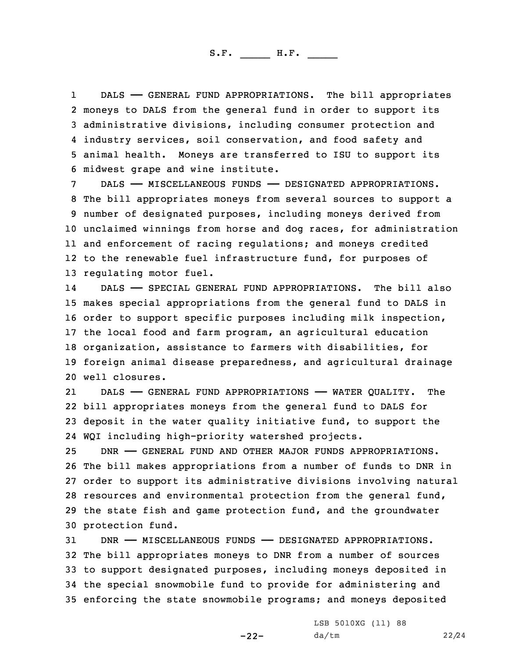1 DALS —— GENERAL FUND APPROPRIATIONS. The bill appropriates moneys to DALS from the general fund in order to support its administrative divisions, including consumer protection and industry services, soil conservation, and food safety and animal health. Moneys are transferred to ISU to support its midwest grape and wine institute.

 DALS —— MISCELLANEOUS FUNDS —— DESIGNATED APPROPRIATIONS. The bill appropriates moneys from several sources to support <sup>a</sup> number of designated purposes, including moneys derived from unclaimed winnings from horse and dog races, for administration and enforcement of racing regulations; and moneys credited to the renewable fuel infrastructure fund, for purposes of regulating motor fuel.

14 DALS —— SPECIAL GENERAL FUND APPROPRIATIONS. The bill also makes special appropriations from the general fund to DALS in order to support specific purposes including milk inspection, the local food and farm program, an agricultural education organization, assistance to farmers with disabilities, for foreign animal disease preparedness, and agricultural drainage well closures.

21 DALS —— GENERAL FUND APPROPRIATIONS —— WATER QUALITY. The 22 bill appropriates moneys from the general fund to DALS for 23 deposit in the water quality initiative fund, to support the 24 WQI including high-priority watershed projects.

 DNR —— GENERAL FUND AND OTHER MAJOR FUNDS APPROPRIATIONS. The bill makes appropriations from <sup>a</sup> number of funds to DNR in order to support its administrative divisions involving natural resources and environmental protection from the general fund, the state fish and game protection fund, and the groundwater protection fund.

 DNR —— MISCELLANEOUS FUNDS —— DESIGNATED APPROPRIATIONS. The bill appropriates moneys to DNR from <sup>a</sup> number of sources to support designated purposes, including moneys deposited in the special snowmobile fund to provide for administering and enforcing the state snowmobile programs; and moneys deposited

-22-

LSB 5010XG (11) 88 da/tm 22/24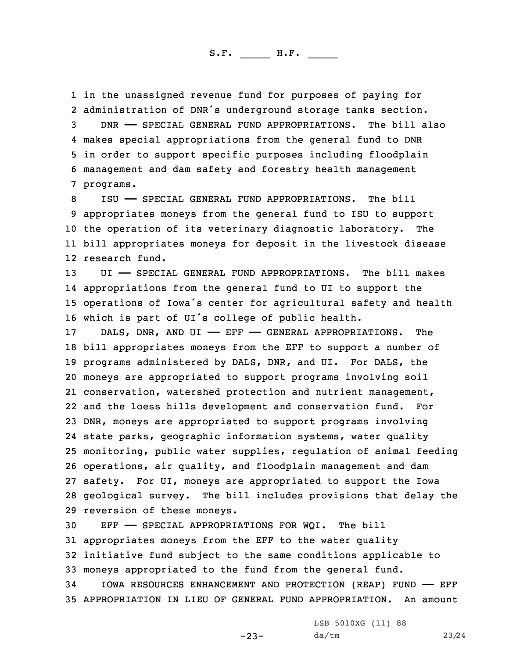in the unassigned revenue fund for purposes of paying for administration of DNR's underground storage tanks section. DNR —— SPECIAL GENERAL FUND APPROPRIATIONS. The bill also makes special appropriations from the general fund to DNR in order to support specific purposes including floodplain management and dam safety and forestry health management programs.

 ISU —— SPECIAL GENERAL FUND APPROPRIATIONS. The bill appropriates moneys from the general fund to ISU to support the operation of its veterinary diagnostic laboratory. The bill appropriates moneys for deposit in the livestock disease research fund.

 UI —— SPECIAL GENERAL FUND APPROPRIATIONS. The bill makes appropriations from the general fund to UI to support the operations of Iowa's center for agricultural safety and health which is part of UI's college of public health.

17 DALS, DNR, AND UI - EFF - GENERAL APPROPRIATIONS. The bill appropriates moneys from the EFF to support <sup>a</sup> number of programs administered by DALS, DNR, and UI. For DALS, the moneys are appropriated to support programs involving soil conservation, watershed protection and nutrient management, and the loess hills development and conservation fund. For DNR, moneys are appropriated to support programs involving state parks, geographic information systems, water quality monitoring, public water supplies, regulation of animal feeding operations, air quality, and floodplain management and dam safety. For UI, moneys are appropriated to support the Iowa geological survey. The bill includes provisions that delay the reversion of these moneys.

 EFF —— SPECIAL APPROPRIATIONS FOR WQI. The bill appropriates moneys from the EFF to the water quality initiative fund subject to the same conditions applicable to moneys appropriated to the fund from the general fund.

34 IOWA RESOURCES ENHANCEMENT AND PROTECTION (REAP) FUND —— EFF 35 APPROPRIATION IN LIEU OF GENERAL FUND APPROPRIATION. An amount

LSB 5010XG (11) 88

-23-

da/tm 23/24